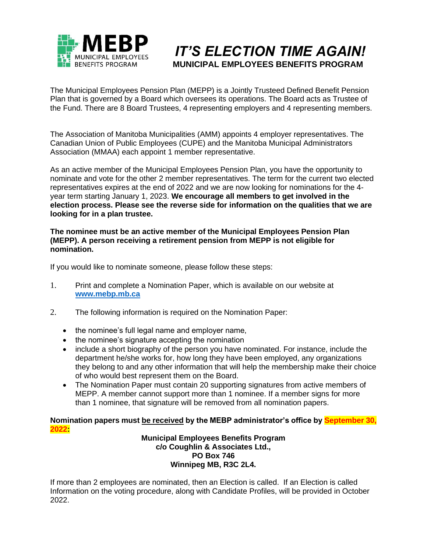

# **MUNICIPAL EMPLOYEES BENEFITS PROGRAM***IT'S ELECTION TIME AGAIN!*

The Municipal Employees Pension Plan (MEPP) is a Jointly Trusteed Defined Benefit Pension Plan that is governed by a Board which oversees its operations. The Board acts as Trustee of the Fund. There are 8 Board Trustees, 4 representing employers and 4 representing members.

The Association of Manitoba Municipalities (AMM) appoints 4 employer representatives. The Canadian Union of Public Employees (CUPE) and the Manitoba Municipal Administrators Association (MMAA) each appoint 1 member representative.

As an active member of the Municipal Employees Pension Plan, you have the opportunity to nominate and vote for the other 2 member representatives. The term for the current two elected representatives expires at the end of 2022 and we are now looking for nominations for the 4 year term starting January 1, 2023. **We encourage all members to get involved in the election process. Please see the reverse side for information on the qualities that we are looking for in a plan trustee.** 

#### **The nominee must be an active member of the Municipal Employees Pension Plan (MEPP). A person receiving a retirement pension from MEPP is not eligible for nomination.**

If you would like to nominate someone, please follow these steps:

- 1. Print and complete a Nomination Paper, which is available on our website at **[www.mebp.mb.ca](http://www.mebp.mb.ca/)**
- 2. The following information is required on the Nomination Paper:
	- the nominee's full legal name and employer name,
	- the nominee's signature accepting the nomination
	- include a short biography of the person you have nominated. For instance, include the department he/she works for, how long they have been employed, any organizations they belong to and any other information that will help the membership make their choice of who would best represent them on the Board.
	- The Nomination Paper must contain 20 supporting signatures from active members of MEPP. A member cannot support more than 1 nominee. If a member signs for more than 1 nominee, that signature will be removed from all nomination papers.

#### **Nomination papers must be received by the MEBP administrator's office by September 30, 2022:**

**Municipal Employees Benefits Program c/o Coughlin & Associates Ltd., PO Box 746 Winnipeg MB, R3C 2L4.**

If more than 2 employees are nominated, then an Election is called. If an Election is called Information on the voting procedure, along with Candidate Profiles, will be provided in October 2022.